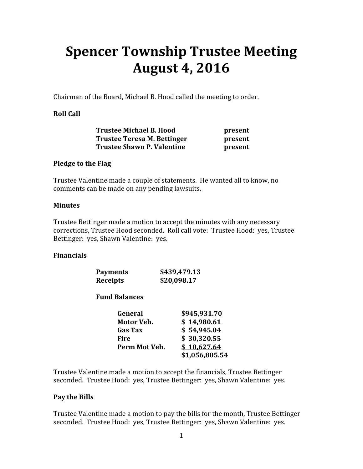# Spencer Township Trustee Meeting August 4, 2016

Chairman of the Board, Michael B. Hood called the meeting to order.

# Roll Call

| <b>Trustee Michael B. Hood</b>    | present |
|-----------------------------------|---------|
| Trustee Teresa M. Bettinger       | present |
| <b>Trustee Shawn P. Valentine</b> | present |

## Pledge to the Flag

Trustee Valentine made a couple of statements. He wanted all to know, no comments can be made on any pending lawsuits.

#### Minutes

Trustee Bettinger made a motion to accept the minutes with any necessary corrections, Trustee Hood seconded. Roll call vote: Trustee Hood: yes, Trustee Bettinger: yes, Shawn Valentine: yes.

## Financials

| <b>Payments</b> | \$439,479.13 |
|-----------------|--------------|
| Receipts        | \$20,098.17  |

## Fund Balances

| General        | \$945,931.70   |
|----------------|----------------|
| Motor Veh.     | \$14,980.61    |
| <b>Gas Tax</b> | \$54,945.04    |
| Fire           | \$30,320.55    |
| Perm Mot Veh.  | \$10,627.64    |
|                | \$1,056,805.54 |

Trustee Valentine made a motion to accept the financials, Trustee Bettinger seconded. Trustee Hood: yes, Trustee Bettinger: yes, Shawn Valentine: yes.

## Pay the Bills

Trustee Valentine made a motion to pay the bills for the month, Trustee Bettinger seconded. Trustee Hood: yes, Trustee Bettinger: yes, Shawn Valentine: yes.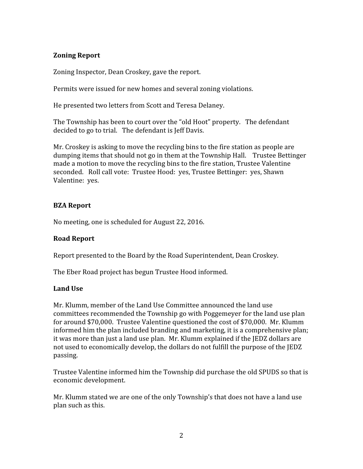# Zoning Report

Zoning Inspector, Dean Croskey, gave the report.

Permits were issued for new homes and several zoning violations.

He presented two letters from Scott and Teresa Delaney.

The Township has been to court over the "old Hoot" property. The defendant decided to go to trial. The defendant is Jeff Davis.

Mr. Croskey is asking to move the recycling bins to the fire station as people are dumping items that should not go in them at the Township Hall. Trustee Bettinger made a motion to move the recycling bins to the fire station, Trustee Valentine seconded. Roll call vote: Trustee Hood: yes, Trustee Bettinger: yes, Shawn Valentine: yes.

# BZA Report

No meeting, one is scheduled for August 22, 2016.

# Road Report

Report presented to the Board by the Road Superintendent, Dean Croskey.

The Eber Road project has begun Trustee Hood informed.

## Land Use

Mr. Klumm, member of the Land Use Committee announced the land use committees recommended the Township go with Poggemeyer for the land use plan for around \$70,000. Trustee Valentine questioned the cost of \$70,000. Mr. Klumm informed him the plan included branding and marketing, it is a comprehensive plan; it was more than just a land use plan. Mr. Klumm explained if the JEDZ dollars are not used to economically develop, the dollars do not fulfill the purpose of the JEDZ passing.

Trustee Valentine informed him the Township did purchase the old SPUDS so that is economic development.

Mr. Klumm stated we are one of the only Township's that does not have a land use plan such as this.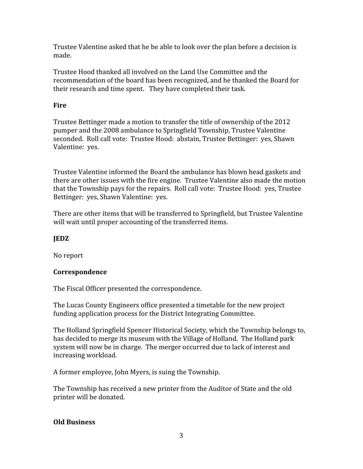Trustee Valentine asked that he be able to look over the plan before a decision is made.

Trustee Hood thanked all involved on the Land Use Committee and the recommendation of the board has been recognized, and he thanked the Board for their research and time spent. They have completed their task.

# Fire

Trustee Bettinger made a motion to transfer the title of ownership of the 2012 pumper and the 2008 ambulance to Springfield Township, Trustee Valentine seconded. Roll call vote: Trustee Hood: abstain, Trustee Bettinger: yes, Shawn Valentine: yes.

Trustee Valentine informed the Board the ambulance has blown head gaskets and there are other issues with the fire engine. Trustee Valentine also made the motion that the Township pays for the repairs. Roll call vote: Trustee Hood: yes, Trustee Bettinger: yes, Shawn Valentine: yes.

There are other items that will be transferred to Springfield, but Trustee Valentine will wait until proper accounting of the transferred items.

# JEDZ

No report

## Correspondence

The Fiscal Officer presented the correspondence.

The Lucas County Engineers office presented a timetable for the new project funding application process for the District Integrating Committee.

The Holland Springfield Spencer Historical Society, which the Township belongs to, has decided to merge its museum with the Village of Holland. The Holland park system will now be in charge. The merger occurred due to lack of interest and increasing workload.

A former employee, John Myers, is suing the Township.

The Township has received a new printer from the Auditor of State and the old printer will be donated.

## Old Business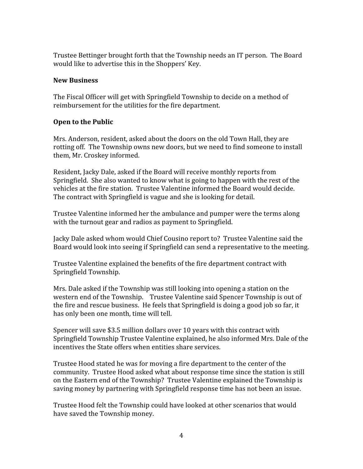Trustee Bettinger brought forth that the Township needs an IT person. The Board would like to advertise this in the Shoppers' Key.

# New Business

The Fiscal Officer will get with Springfield Township to decide on a method of reimbursement for the utilities for the fire department.

# Open to the Public

Mrs. Anderson, resident, asked about the doors on the old Town Hall, they are rotting off. The Township owns new doors, but we need to find someone to install them, Mr. Croskey informed.

Resident, Jacky Dale, asked if the Board will receive monthly reports from Springfield. She also wanted to know what is going to happen with the rest of the vehicles at the fire station. Trustee Valentine informed the Board would decide. The contract with Springfield is vague and she is looking for detail.

Trustee Valentine informed her the ambulance and pumper were the terms along with the turnout gear and radios as payment to Springfield.

Jacky Dale asked whom would Chief Cousino report to? Trustee Valentine said the Board would look into seeing if Springfield can send a representative to the meeting.

Trustee Valentine explained the benefits of the fire department contract with Springfield Township.

Mrs. Dale asked if the Township was still looking into opening a station on the western end of the Township. Trustee Valentine said Spencer Township is out of the fire and rescue business. He feels that Springfield is doing a good job so far, it has only been one month, time will tell.

Spencer will save \$3.5 million dollars over 10 years with this contract with Springfield Township Trustee Valentine explained, he also informed Mrs. Dale of the incentives the State offers when entities share services.

Trustee Hood stated he was for moving a fire department to the center of the community. Trustee Hood asked what about response time since the station is still on the Eastern end of the Township? Trustee Valentine explained the Township is saving money by partnering with Springfield response time has not been an issue.

Trustee Hood felt the Township could have looked at other scenarios that would have saved the Township money.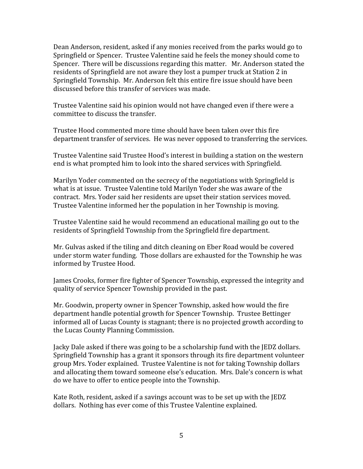Dean Anderson, resident, asked if any monies received from the parks would go to Springfield or Spencer. Trustee Valentine said he feels the money should come to Spencer. There will be discussions regarding this matter. Mr. Anderson stated the residents of Springfield are not aware they lost a pumper truck at Station 2 in Springfield Township. Mr. Anderson felt this entire fire issue should have been discussed before this transfer of services was made.

Trustee Valentine said his opinion would not have changed even if there were a committee to discuss the transfer.

Trustee Hood commented more time should have been taken over this fire department transfer of services. He was never opposed to transferring the services.

Trustee Valentine said Trustee Hood's interest in building a station on the western end is what prompted him to look into the shared services with Springfield.

Marilyn Yoder commented on the secrecy of the negotiations with Springfield is what is at issue. Trustee Valentine told Marilyn Yoder she was aware of the contract. Mrs. Yoder said her residents are upset their station services moved. Trustee Valentine informed her the population in her Township is moving.

Trustee Valentine said he would recommend an educational mailing go out to the residents of Springfield Township from the Springfield fire department.

Mr. Gulvas asked if the tiling and ditch cleaning on Eber Road would be covered under storm water funding. Those dollars are exhausted for the Township he was informed by Trustee Hood.

James Crooks, former fire fighter of Spencer Township, expressed the integrity and quality of service Spencer Township provided in the past.

Mr. Goodwin, property owner in Spencer Township, asked how would the fire department handle potential growth for Spencer Township. Trustee Bettinger informed all of Lucas County is stagnant; there is no projected growth according to the Lucas County Planning Commission.

Jacky Dale asked if there was going to be a scholarship fund with the JEDZ dollars. Springfield Township has a grant it sponsors through its fire department volunteer group Mrs. Yoder explained. Trustee Valentine is not for taking Township dollars and allocating them toward someone else's education. Mrs. Dale's concern is what do we have to offer to entice people into the Township.

Kate Roth, resident, asked if a savings account was to be set up with the JEDZ dollars. Nothing has ever come of this Trustee Valentine explained.